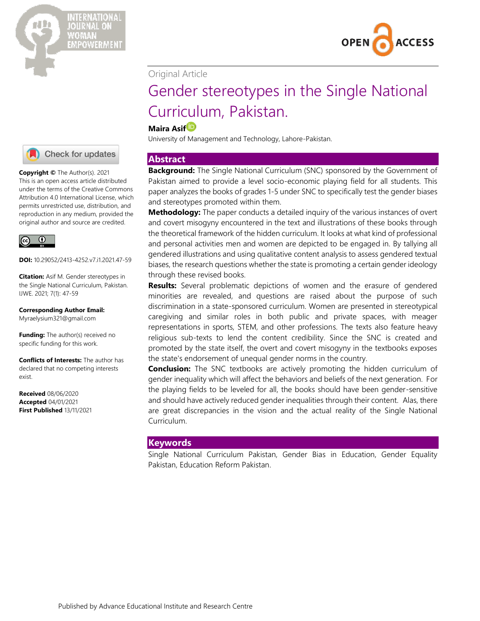



# Original Article

# Gender stereotypes in the Single National Curriculum, Pakistan.

# **Maira Asi[f](https://orcid.org/0000-0002-4373-8932)**

University of Management and Technology, Lahore-Pakistan.

# **Abstract**

**Background:** The Single National Curriculum (SNC) sponsored by the Government of Pakistan aimed to provide a level socio-economic playing field for all students. This paper analyzes the books of grades 1-5 under SNC to specifically test the gender biases and stereotypes promoted within them.

**Methodology:** The paper conducts a detailed inquiry of the various instances of overt and covert misogyny encountered in the text and illustrations of these books through the theoretical framework of the hidden curriculum. It looks at what kind of professional and personal activities men and women are depicted to be engaged in. By tallying all gendered illustrations and using qualitative content analysis to assess gendered textual biases, the research questions whether the state is promoting a certain gender ideology through these revised books.

**Results:** Several problematic depictions of women and the erasure of gendered minorities are revealed, and questions are raised about the purpose of such discrimination in a state-sponsored curriculum. Women are presented in stereotypical caregiving and similar roles in both public and private spaces, with meager representations in sports, STEM, and other professions. The texts also feature heavy religious sub-texts to lend the content credibility. Since the SNC is created and promoted by the state itself, the overt and covert misogyny in the textbooks exposes the state's endorsement of unequal gender norms in the country.

**Conclusion:** The SNC textbooks are actively promoting the hidden curriculum of gender inequality which will affect the behaviors and beliefs of the next generation. For the playing fields to be leveled for all, the books should have been gender-sensitive and should have actively reduced gender inequalities through their content. Alas, there are great discrepancies in the vision and the actual reality of the Single National Curriculum.

# **Keywords**

Single National Curriculum Pakistan, Gender Bias in Education, Gender Equality Pakistan, Education Reform Pakistan.



**Copyright ©** The Author(s). 2021 This is an open access article distributed under the terms of the [Creative Commons](http://creativecommons.org/licenses/by/4.0/))  [Attribution 4.0 International License,](http://creativecommons.org/licenses/by/4.0/)) which permits unrestricted use, distribution, and reproduction in any medium, provided the original author and source are credited.



**DOI:** 10.29052/2413-4252.v7.i1.2021.47-59

**Citation:** Asif M. Gender stereotypes in the Single National Curriculum, Pakistan. IJWE. 2021; 7(1): 47-59

**Corresponding Author Email:** Myraelysium321@gmail.com

**Funding:** The author(s) received no specific funding for this work.

**Conflicts of Interests:** The author has declared that no competing interests exist.

**Received** 08/06/2020 **Accepted** 04/01/2021 **First Published** 13/11/2021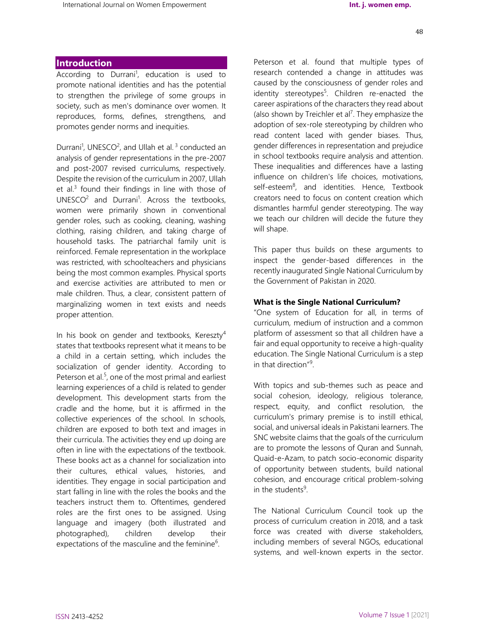## **Introduction**

According to Durrani<sup>1</sup>, education is used to promote national identities and has the potential to strengthen the privilege of some groups in society, such as men's dominance over women. It reproduces, forms, defines, strengthens, and promotes gender norms and inequities.

Durrani<sup>1</sup>, UNESCO<sup>2</sup>, and Ullah et al.<sup>3</sup> conducted an analysis of gender representations in the pre-2007 and post-2007 revised curriculums, respectively. Despite the revision of the curriculum in 2007, Ullah et al.<sup>3</sup> found their findings in line with those of  $UNESCO<sup>2</sup>$  and Durrani<sup>1</sup>. Across the textbooks, women were primarily shown in conventional gender roles, such as cooking, cleaning, washing clothing, raising children, and taking charge of household tasks. The patriarchal family unit is reinforced. Female representation in the workplace was restricted, with schoolteachers and physicians being the most common examples. Physical sports and exercise activities are attributed to men or male children. Thus, a clear, consistent pattern of marginalizing women in text exists and needs proper attention.

In his book on gender and textbooks, Kereszty<sup>4</sup> states that textbooks represent what it means to be a child in a certain setting, which includes the socialization of gender identity. According to Peterson et al.<sup>5</sup>, one of the most primal and earliest learning experiences of a child is related to gender development. This development starts from the cradle and the home, but it is affirmed in the collective experiences of the school. In schools, children are exposed to both text and images in their curricula. The activities they end up doing are often in line with the expectations of the textbook. These books act as a channel for socialization into their cultures, ethical values, histories, and identities. They engage in social participation and start falling in line with the roles the books and the teachers instruct them to. Oftentimes, gendered roles are the first ones to be assigned. Using language and imagery (both illustrated and photographed), children develop their expectations of the masculine and the feminine<sup>6</sup>.

Peterson et al. found that multiple types of research contended a change in attitudes was caused by the consciousness of gender roles and identity stereotypes<sup>5</sup>. Children re-enacted the career aspirations of the characters they read about (also shown by Treichler et al<sup>7</sup>. They emphasize the adoption of sex-role stereotyping by children who read content laced with gender biases. Thus, gender differences in representation and prejudice in school textbooks require analysis and attention. These inequalities and differences have a lasting influence on children's life choices, motivations, self-esteem<sup>8</sup>, and identities. Hence, Textbook creators need to focus on content creation which dismantles harmful gender stereotyping. The way we teach our children will decide the future they will shape.

This paper thus builds on these arguments to inspect the gender-based differences in the recently inaugurated Single National Curriculum by the Government of Pakistan in 2020.

#### **What is the Single National Curriculum?**

"One system of Education for all, in terms of curriculum, medium of instruction and a common platform of assessment so that all children have a fair and equal opportunity to receive a high-quality education. The Single National Curriculum is a step in that direction"<sup>9</sup>.

With topics and sub-themes such as peace and social cohesion, ideology, religious tolerance, respect, equity, and conflict resolution, the curriculum's primary premise is to instill ethical, social, and universal ideals in Pakistani learners. The SNC website claims that the goals of the curriculum are to promote the lessons of Quran and Sunnah, Quaid-e-Azam, to patch socio-economic disparity of opportunity between students, build national cohesion, and encourage critical problem-solving in the students<sup>9</sup>.

The National Curriculum Council took up the process of curriculum creation in 2018, and a task force was created with diverse stakeholders, including members of several NGOs, educational systems, and well-known experts in the sector.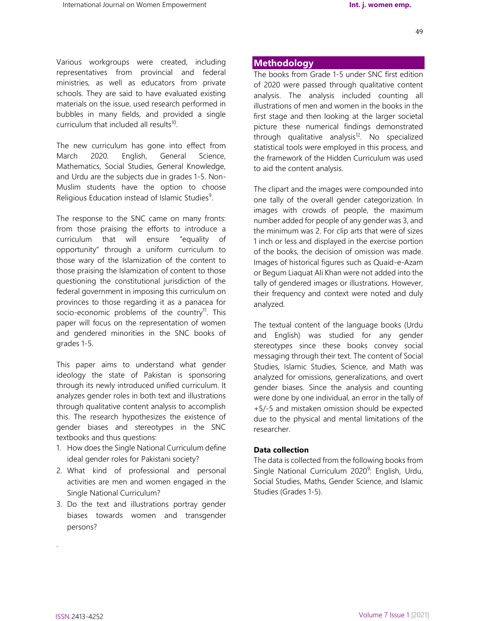Various workgroups were created, including representatives from provincial and federal ministries, as well as educators from private schools. They are said to have evaluated existing materials on the issue, used research performed in bubbles in many fields, and provided a single curriculum that included all results<sup>10</sup>.

The new curriculum has gone into effect from March 2020. English, General Science, Mathematics, Social Studies, General Knowledge, and Urdu are the subjects due in grades 1-5. Non-Muslim students have the option to choose Religious Education instead of Islamic Studies<sup>9</sup>.

The response to the SNC came on many fronts: from those praising the efforts to introduce a curriculum that will ensure "equality of opportunity" through a uniform curriculum to those wary of the Islamization of the content to those praising the Islamization of content to those questioning the constitutional jurisdiction of the federal government in imposing this curriculum on provinces to those regarding it as a panacea for socio-economic problems of the country<sup>11</sup>. This paper will focus on the representation of women and gendered minorities in the SNC books of grades 1-5.

This paper aims to understand what gender ideology the state of Pakistan is sponsoring through its newly introduced unified curriculum. It analyzes gender roles in both text and illustrations through qualitative content analysis to accomplish this. The research hypothesizes the existence of gender biases and stereotypes in the SNC textbooks and thus questions:

- 1. How does the Single National Curriculum define ideal gender roles for Pakistani society?
- 2. What kind of professional and personal activities are men and women engaged in the Single National Curriculum?
- 3. Do the text and illustrations portray gender biases towards women and transgender persons?

## **Methodology**

The books from Grade 1-5 under SNC first edition of 2020 were passed through qualitative content analysis. The analysis included counting all illustrations of men and women in the books in the first stage and then looking at the larger societal picture these numerical findings demonstrated through qualitative analysis<sup>12</sup>. No specialized statistical tools were employed in this process, and the framework of the Hidden Curriculum was used to aid the content analysis.

The clipart and the images were compounded into one tally of the overall gender categorization. In images with crowds of people, the maximum number added for people of any gender was 3, and the minimum was 2. For clip arts that were of sizes 1 inch or less and displayed in the exercise portion of the books, the decision of omission was made. Images of historical figures such as Quaid-e-Azam or Begum Liaquat Ali Khan were not added into the tally of gendered images or illustrations. However, their frequency and context were noted and duly analyzed.

The textual content of the language books (Urdu and English) was studied for any gender stereotypes since these books convey social messaging through their text. The content of Social Studies, Islamic Studies, Science, and Math was analyzed for omissions, generalizations, and overt gender biases. Since the analysis and counting were done by one individual, an error in the tally of +5/-5 and mistaken omission should be expected due to the physical and mental limitations of the researcher.

#### **Data collection**

The data is collected from the following books from Single National Curriculum 2020<sup>9</sup>: English, Urdu, Social Studies, Maths, Gender Science, and Islamic Studies (Grades 1-5).

49

.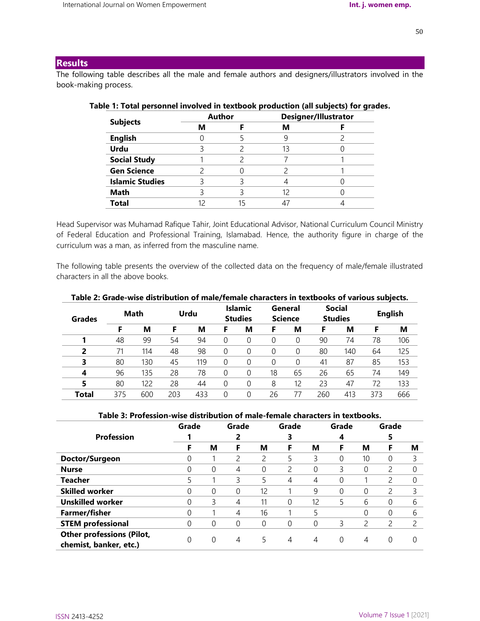# **Results**

The following table describes all the male and female authors and designers/illustrators involved in the book-making process.

| <b>Subjects</b>        | <b>Author</b> | <b>Designer/Illustrator</b> |  |  |  |
|------------------------|---------------|-----------------------------|--|--|--|
|                        | М             | м                           |  |  |  |
| <b>English</b>         |               |                             |  |  |  |
| <b>Urdu</b>            |               | 13                          |  |  |  |
| <b>Social Study</b>    |               |                             |  |  |  |
| <b>Gen Science</b>     |               |                             |  |  |  |
| <b>Islamic Studies</b> |               |                             |  |  |  |
| <b>Math</b>            |               | 12                          |  |  |  |
| Total                  |               |                             |  |  |  |
|                        |               |                             |  |  |  |

# **Table 1: Total personnel involved in textbook production (all subjects) for grades.**

Head Supervisor was Muhamad Rafique Tahir, Joint Educational Advisor, National Curriculum Council Ministry of Federal Education and Professional Training, Islamabad. Hence, the authority figure in charge of the curriculum was a man, as inferred from the masculine name.

The following table presents the overview of the collected data on the frequency of male/female illustrated characters in all the above books.

| <b>Grades</b>  | Math |     | Urdu |     | <b>Islamic</b><br><b>Studies</b> |          | General<br><b>Science</b> |    | <b>Social</b><br><b>Studies</b> |     | <b>English</b> |     |
|----------------|------|-----|------|-----|----------------------------------|----------|---------------------------|----|---------------------------------|-----|----------------|-----|
|                | F    | м   | F    | м   | F                                | М        | F                         | M  | F                               | M   |                | M   |
|                | 48   | 99  | 54   | 94  | 0                                |          | 0                         | 0  | 90                              | 74  | 78             | 106 |
| $\overline{2}$ |      | 114 | 48   | 98  | 0                                |          | 0                         |    | 80                              | 140 | 64             | 125 |
| 3              | 80   | 130 | 45   | 119 | 0                                |          | 0                         |    | 41                              | 87  | 85             | 153 |
| 4              | 96   | 135 | 28   | 78  | 0                                | $\Omega$ | 18                        | 65 | 26                              | 65  | 74             | 149 |
| 5              | 80   | 122 | 28   | 44  | 0                                |          | 8                         | 12 | 23                              | 47  | 72             | 133 |
| Total          | 375  | 600 | 203  | 433 | 0                                |          | 26                        |    | 260                             | 413 | 373            | 666 |

### **Table 2: Grade-wise distribution of male/female characters in textbooks of various subjects.**

#### **Table 3: Profession-wise distribution of male-female characters in textbooks.**

|                                  | Grade |          | Grade |    | Grade |    | Grade    |    | Grade         |   |
|----------------------------------|-------|----------|-------|----|-------|----|----------|----|---------------|---|
| <b>Profession</b>                |       |          |       |    | 3     |    | 4        |    | 5             |   |
|                                  | F     | м        | F     | м  | F     | М  | F        | м  | F             | м |
| Doctor/Surgeon                   | U     |          |       | 2  | 5     | 3  | 0        | 10 | 0             | 3 |
| <b>Nurse</b>                     |       | 0        | 4     | 0  | 2     | 0  | 3        | 0  | 2             |   |
| <b>Teacher</b>                   |       |          | 3     | 5  | 4     | 4  | 0        |    | $\mathcal{P}$ |   |
| <b>Skilled worker</b>            |       | 0        | 0     | 12 |       | 9  | 0        | 0  |               | 3 |
| <b>Unskilled worker</b>          | U     | 3        | 4     | 11 | 0     | 12 | 5.       | 6  | 0             | 6 |
| <b>Farmer/fisher</b>             |       |          | 4     | 16 |       |    |          |    | 0             | 6 |
| <b>STEM professional</b>         | 0     | 0        | 0     | 0  | 0     | 0  | 3        |    | 2             | 2 |
| <b>Other professions (Pilot,</b> |       |          |       |    |       |    |          |    |               |   |
| chemist, banker, etc.)           | 0     | $\Omega$ | 4     | 5  | 4     | 4  | $\Omega$ | 4  | $\Omega$      |   |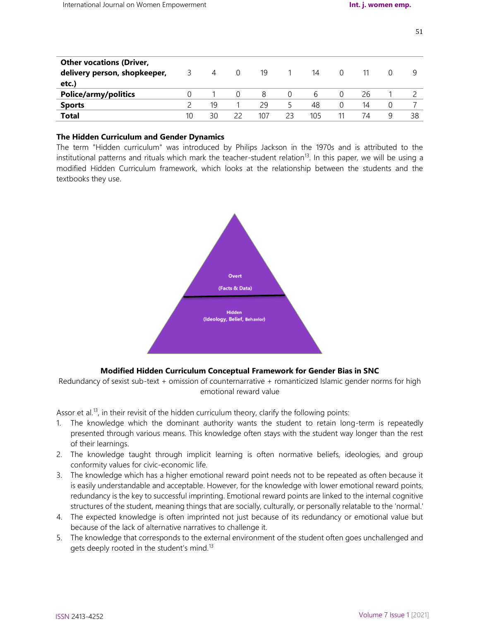| <b>Other vocations (Driver,</b> |    |    |          |     |    |     |          |    |        |    |
|---------------------------------|----|----|----------|-----|----|-----|----------|----|--------|----|
| delivery person, shopkeeper,    |    | 4  | $\Omega$ | 19  |    | 14  | $\Omega$ |    | $\cup$ | Q  |
| etc.)                           |    |    |          |     |    |     |          |    |        |    |
| <b>Police/army/politics</b>     |    |    |          | 8   |    | h   | $\Omega$ | 26 |        |    |
| <b>Sports</b>                   |    | 19 |          | 29  | 5  | 48  | 0        | 14 | 0      |    |
| <b>Total</b>                    | 10 | 30 |          | 107 | 23 | 105 | 11       | 74 | q      | 38 |

## **The Hidden Curriculum and Gender Dynamics**

The term "Hidden curriculum" was introduced by Philips Jackson in the 1970s and is attributed to the institutional patterns and rituals which mark the teacher-student relation<sup>13</sup>. In this paper, we will be using a modified Hidden Curriculum framework, which looks at the relationship between the students and the textbooks they use.



# **Modified Hidden Curriculum Conceptual Framework for Gender Bias in SNC**

Redundancy of sexist sub-text + omission of counternarrative + romanticized Islamic gender norms for high emotional reward value

Assor et al.<sup>13</sup>, in their revisit of the hidden curriculum theory, clarify the following points:

- 1. The knowledge which the dominant authority wants the student to retain long-term is repeatedly presented through various means. This knowledge often stays with the student way longer than the rest of their learnings.
- 2. The knowledge taught through implicit learning is often normative beliefs, ideologies, and group conformity values for civic-economic life.
- 3. The knowledge which has a higher emotional reward point needs not to be repeated as often because it is easily understandable and acceptable. However, for the knowledge with lower emotional reward points, redundancy is the key to successful imprinting. Emotional reward points are linked to the internal cognitive structures of the student, meaning things that are socially, culturally, or personally relatable to the 'normal.'
- 4. The expected knowledge is often imprinted not just because of its redundancy or emotional value but because of the lack of alternative narratives to challenge it.
- 5. The knowledge that corresponds to the external environment of the student often goes unchallenged and gets deeply rooted in the student's mind.<sup>13</sup>

51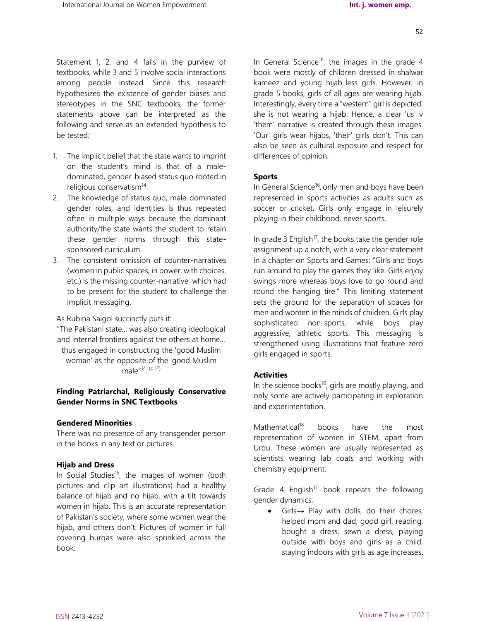Statement 1, 2, and 4 falls in the purview of textbooks, while 3 and 5 involve social interactions among people instead. Since this research hypothesizes the existence of gender biases and stereotypes in the SNC textbooks, the former statements above can be interpreted as the following and serve as an extended hypothesis to be tested:

- 1. The implicit belief that the state wants to imprint on the student's mind is that of a maledominated, gender-biased status quo rooted in religious conservatism<sup>14</sup>.
- 2. The knowledge of status quo, male-dominated gender roles, and identities is thus repeated often in multiple ways because the dominant authority/the state wants the student to retain these gender norms through this statesponsored curriculum.
- 3. The consistent omission of counter-narratives (women in public spaces, in power, with choices, etc.) is the missing counter-narrative, which had to be present for the student to challenge the implicit messaging.

As Rubina Saigol succinctly puts it:

"The Pakistani state... was also creating ideological and internal frontiers against the others at home... thus engaged in constructing the 'good Muslim woman' as the opposite of the 'good Muslim male<sup>"14</sup>. <sup>(p.12)</sup>

## **Finding Patriarchal, Religiously Conservative Gender Norms in SNC Textbooks**

#### **Gendered Minorities**

There was no presence of any transgender person in the books in any text or pictures.

#### **Hijab and Dress**

In Social Studies<sup>15</sup>, the images of women (both pictures and clip art illustrations) had a healthy balance of hijab and no hijab, with a tilt towards women in hijab. This is an accurate representation of Pakistan's society, where some women wear the hijab, and others don't. Pictures of women in full covering burqas were also sprinkled across the book.

In General Science<sup>16</sup>, the images in the grade 4 book were mostly of children dressed in shalwar kameez and young hijab-less girls. However, in grade 5 books, girls of all ages are wearing hijab. Interestingly, every time a "western" girl is depicted, she is not wearing a hijab. Hence, a clear 'us' v 'them' narrative is created through these images. 'Our' girls wear hijabs, 'their' girls don't. This can also be seen as cultural exposure and respect for differences of opinion.

## **Sports**

In General Science<sup>16</sup>, only men and boys have been represented in sports activities as adults such as soccer or cricket. Girls only engage in leisurely playing in their childhood, never sports.

In grade 3 English<sup>17</sup>, the books take the gender role assignment up a notch, with a very clear statement in a chapter on Sports and Games: "Girls and boys run around to play the games they like. Girls enjoy swings more whereas boys love to go round and round the hanging tire." This limiting statement sets the ground for the separation of spaces for men and women in the minds of children. Girls play sophisticated non-sports, while boys play aggressive, athletic sports. This messaging is strengthened using illustrations that feature zero girls engaged in sports.

#### **Activities**

In the science books<sup>16</sup>, girls are mostly playing, and only some are actively participating in exploration and experimentation.

Mathematical<sup>18</sup> books have the most representation of women in STEM, apart from Urdu. These women are usually represented as scientists wearing lab coats and working with chemistry equipment.

Grade 4 English<sup>17</sup> book repeats the following gender dynamics:

 Girls→ Play with dolls, do their chores, helped mom and dad, good girl, reading, bought a dress, sewn a dress, playing outside with boys and girls as a child, staying indoors with girls as age increases.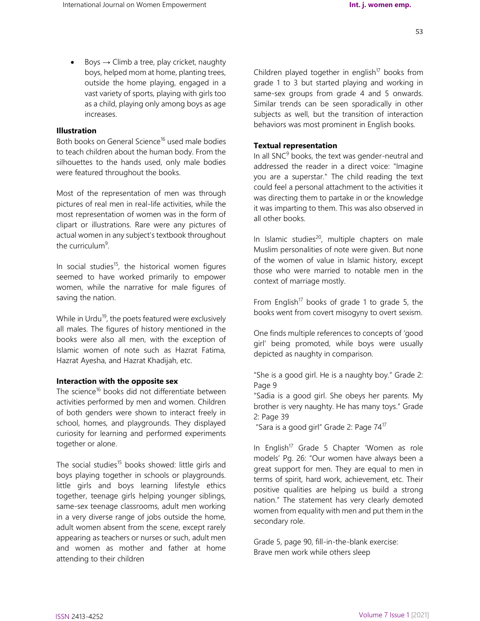$\bullet$  Boys  $\rightarrow$  Climb a tree, play cricket, naughty boys, helped mom at home, planting trees, outside the home playing, engaged in a vast variety of sports, playing with girls too as a child, playing only among boys as age increases.

## **Illustration**

Both books on General Science<sup>16</sup> used male bodies to teach children about the human body. From the silhouettes to the hands used, only male bodies were featured throughout the books.

Most of the representation of men was through pictures of real men in real-life activities, while the most representation of women was in the form of clipart or illustrations. Rare were any pictures of actual women in any subject's textbook throughout the curriculum<sup>9</sup>.

In social studies<sup>15</sup>, the historical women figures seemed to have worked primarily to empower women, while the narrative for male figures of saving the nation.

While in Urdu<sup>19</sup>, the poets featured were exclusively all males. The figures of history mentioned in the books were also all men, with the exception of Islamic women of note such as Hazrat Fatima, Hazrat Ayesha, and Hazrat Khadijah, etc.

#### **Interaction with the opposite sex**

The science<sup>16</sup> books did not differentiate between activities performed by men and women. Children of both genders were shown to interact freely in school, homes, and playgrounds. They displayed curiosity for learning and performed experiments together or alone.

The social studies<sup>15</sup> books showed: little girls and boys playing together in schools or playgrounds. little girls and boys learning lifestyle ethics together, teenage girls helping younger siblings, same-sex teenage classrooms, adult men working in a very diverse range of jobs outside the home, adult women absent from the scene, except rarely appearing as teachers or nurses or such, adult men and women as mother and father at home attending to their children

Children played together in english<sup>17</sup> books from grade 1 to 3 but started playing and working in same-sex groups from grade 4 and 5 onwards. Similar trends can be seen sporadically in other subjects as well, but the transition of interaction behaviors was most prominent in English books.

## **Textual representation**

In all  $SNC<sup>9</sup>$  books, the text was gender-neutral and addressed the reader in a direct voice: "Imagine you are a superstar." The child reading the text could feel a personal attachment to the activities it was directing them to partake in or the knowledge it was imparting to them. This was also observed in all other books.

In Islamic studies $^{20}$ , multiple chapters on male Muslim personalities of note were given. But none of the women of value in Islamic history, except those who were married to notable men in the context of marriage mostly.

From English<sup>17</sup> books of grade 1 to grade 5, the books went from covert misogyny to overt sexism.

One finds multiple references to concepts of 'good girl' being promoted, while boys were usually depicted as naughty in comparison.

"She is a good girl. He is a naughty boy." Grade 2: Page 9

"Sadia is a good girl. She obeys her parents. My brother is very naughty. He has many toys." Grade 2: Page 39

"Sara is a good girl" Grade 2: Page 74<sup>17</sup>

In English<sup>17</sup> Grade 5 Chapter 'Women as role models' Pg. 26: "Our women have always been a great support for men. They are equal to men in terms of spirit, hard work, achievement, etc. Their positive qualities are helping us build a strong nation." The statement has very clearly demoted women from equality with men and put them in the secondary role.

Grade 5, page 90, fill-in-the-blank exercise: Brave men work while others sleep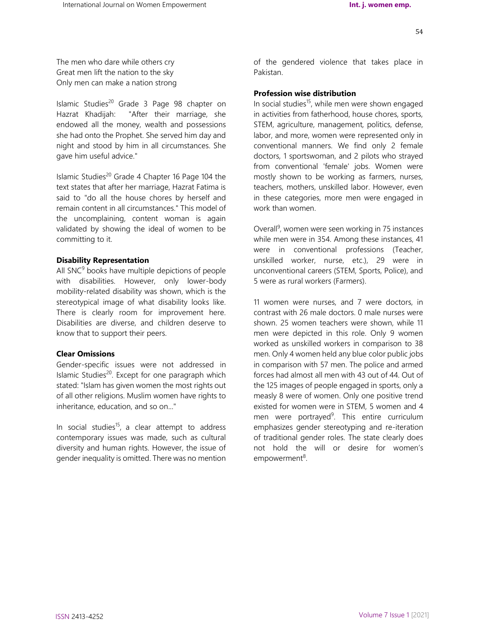The men who dare while others cry Great men lift the nation to the sky Only men can make a nation strong

Islamic Studies<sup>20</sup> Grade 3 Page 98 chapter on Hazrat Khadijah: "After their marriage, she endowed all the money, wealth and possessions she had onto the Prophet. She served him day and night and stood by him in all circumstances. She gave him useful advice."

Islamic Studies<sup>20</sup> Grade 4 Chapter 16 Page 104 the text states that after her marriage, Hazrat Fatima is said to "do all the house chores by herself and remain content in all circumstances." This model of the uncomplaining, content woman is again validated by showing the ideal of women to be committing to it.

#### **Disability Representation**

All  $SNC<sup>9</sup>$  books have multiple depictions of people with disabilities. However, only lower-body mobility-related disability was shown, which is the stereotypical image of what disability looks like. There is clearly room for improvement here. Disabilities are diverse, and children deserve to know that to support their peers.

#### **Clear Omissions**

Gender-specific issues were not addressed in Islamic Studies $^{20}$ . Except for one paragraph which stated: "Islam has given women the most rights out of all other religions. Muslim women have rights to inheritance, education, and so on..."

In social studies<sup>15</sup>, a clear attempt to address contemporary issues was made, such as cultural diversity and human rights. However, the issue of gender inequality is omitted. There was no mention

of the gendered violence that takes place in Pakistan.

## **Profession wise distribution**

In social studies<sup>15</sup>, while men were shown engaged in activities from fatherhood, house chores, sports, STEM, agriculture, management, politics, defense, labor, and more, women were represented only in conventional manners. We find only 2 female doctors, 1 sportswoman, and 2 pilots who strayed from conventional 'female' jobs. Women were mostly shown to be working as farmers, nurses, teachers, mothers, unskilled labor. However, even in these categories, more men were engaged in work than women.

Overall<sup>9</sup>, women were seen working in 75 instances while men were in 354. Among these instances, 41 were in conventional professions (Teacher, unskilled worker, nurse, etc.), 29 were in unconventional careers (STEM, Sports, Police), and 5 were as rural workers (Farmers).

11 women were nurses, and 7 were doctors, in contrast with 26 male doctors. 0 male nurses were shown. 25 women teachers were shown, while 11 men were depicted in this role. Only 9 women worked as unskilled workers in comparison to 38 men. Only 4 women held any blue color public jobs in comparison with 57 men. The police and armed forces had almost all men with 43 out of 44. Out of the 125 images of people engaged in sports, only a measly 8 were of women. Only one positive trend existed for women were in STEM, 5 women and 4 men were portrayed<sup>9</sup>. This entire curriculum emphasizes gender stereotyping and re-iteration of traditional gender roles. The state clearly does not hold the will or desire for women's empowerment<sup>8</sup>.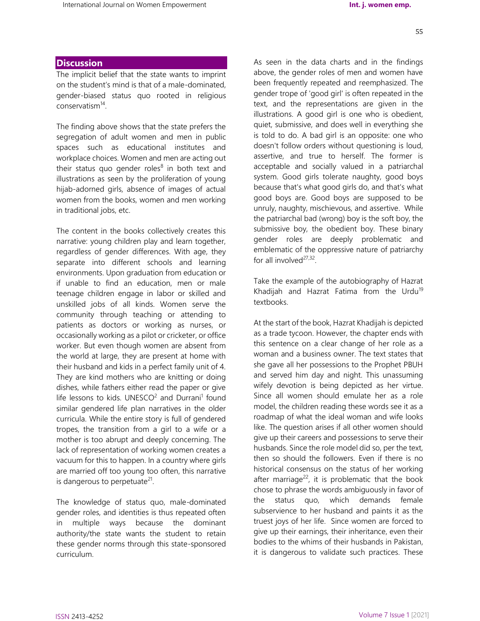# **Discussion**

The implicit belief that the state wants to imprint on the student's mind is that of a male-dominated, gender-biased status quo rooted in religious conservatism<sup>14</sup>.

The finding above shows that the state prefers the segregation of adult women and men in public spaces such as educational institutes and workplace choices. Women and men are acting out their status quo gender roles<sup>8</sup> in both text and illustrations as seen by the proliferation of young hijab-adorned girls, absence of images of actual women from the books, women and men working in traditional jobs, etc.

The content in the books collectively creates this narrative: young children play and learn together, regardless of gender differences. With age, they separate into different schools and learning environments. Upon graduation from education or if unable to find an education, men or male teenage children engage in labor or skilled and unskilled jobs of all kinds. Women serve the community through teaching or attending to patients as doctors or working as nurses, or occasionally working as a pilot or cricketer, or office worker. But even though women are absent from the world at large, they are present at home with their husband and kids in a perfect family unit of 4. They are kind mothers who are knitting or doing dishes, while fathers either read the paper or give life lessons to kids. UNESCO<sup>2</sup> and Durrani<sup>1</sup> found similar gendered life plan narratives in the older curricula. While the entire story is full of gendered tropes, the transition from a girl to a wife or a mother is too abrupt and deeply concerning. The lack of representation of working women creates a vacuum for this to happen. In a country where girls are married off too young too often, this narrative is dangerous to perpetuate<sup>21</sup>.

The knowledge of status quo, male-dominated gender roles, and identities is thus repeated often in multiple ways because the dominant authority/the state wants the student to retain these gender norms through this state-sponsored curriculum.

As seen in the data charts and in the findings above, the gender roles of men and women have been frequently repeated and reemphasized. The gender trope of 'good girl' is often repeated in the text, and the representations are given in the illustrations. A good girl is one who is obedient, quiet, submissive, and does well in everything she is told to do. A bad girl is an opposite: one who doesn't follow orders without questioning is loud, assertive, and true to herself. The former is acceptable and socially valued in a patriarchal system. Good girls tolerate naughty, good boys because that's what good girls do, and that's what good boys are. Good boys are supposed to be unruly, naughty, mischievous, and assertive. While the patriarchal bad (wrong) boy is the soft boy, the submissive boy, the obedient boy. These binary gender roles are deeply problematic and emblematic of the oppressive nature of patriarchy for all involved<sup>27,32</sup>.

Take the example of the autobiography of Hazrat Khadijah and Hazrat Fatima from the Urdu<sup>19</sup> textbooks.

At the start of the book, Hazrat Khadijah is depicted as a trade tycoon. However, the chapter ends with this sentence on a clear change of her role as a woman and a business owner. The text states that she gave all her possessions to the Prophet PBUH and served him day and night. This unassuming wifely devotion is being depicted as her virtue. Since all women should emulate her as a role model, the children reading these words see it as a roadmap of what the ideal woman and wife looks like. The question arises if all other women should give up their careers and possessions to serve their husbands. Since the role model did so, per the text, then so should the followers. Even if there is no historical consensus on the status of her working after marriage<sup>22</sup>, it is problematic that the book chose to phrase the words ambiguously in favor of the status quo, which demands female subservience to her husband and paints it as the truest joys of her life. Since women are forced to give up their earnings, their inheritance, even their bodies to the whims of their husbands in Pakistan, it is dangerous to validate such practices. These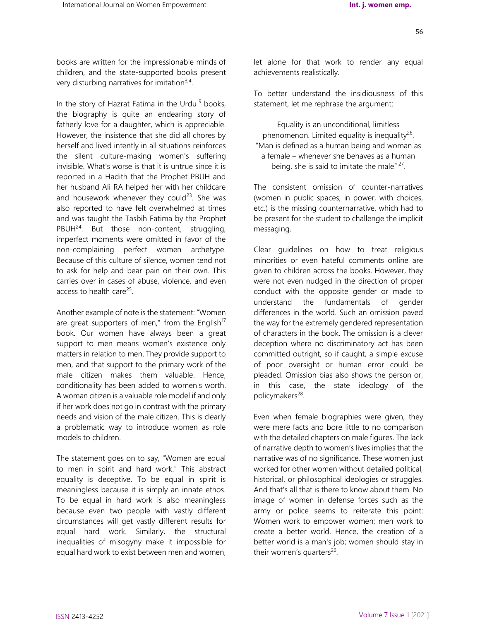56

books are written for the impressionable minds of children, and the state-supported books present very disturbing narratives for imitation<sup>3,4</sup>.

In the story of Hazrat Fatima in the Urdu $19$  books, the biography is quite an endearing story of fatherly love for a daughter, which is appreciable. However, the insistence that she did all chores by herself and lived intently in all situations reinforces the silent culture-making women's suffering invisible. What's worse is that it is untrue since it is reported in a Hadith that the Prophet PBUH and her husband Ali RA helped her with her childcare and housework whenever they could $^{23}$ . She was also reported to have felt overwhelmed at times and was taught the Tasbih Fatima by the Prophet  $PBUH<sup>24</sup>$ . But those non-content, struggling, imperfect moments were omitted in favor of the non-complaining perfect women archetype. Because of this culture of silence, women tend not to ask for help and bear pain on their own. This carries over in cases of abuse, violence, and even access to health care<sup>25</sup>.

Another example of note is the statement: "Women are great supporters of men," from the English $17$ book. Our women have always been a great support to men means women's existence only matters in relation to men. They provide support to men, and that support to the primary work of the male citizen makes them valuable. Hence, conditionality has been added to women's worth. A woman citizen is a valuable role model if and only if her work does not go in contrast with the primary needs and vision of the male citizen. This is clearly a problematic way to introduce women as role models to children.

The statement goes on to say, "Women are equal to men in spirit and hard work." This abstract equality is deceptive. To be equal in spirit is meaningless because it is simply an innate ethos. To be equal in hard work is also meaningless because even two people with vastly different circumstances will get vastly different results for equal hard work. Similarly, the structural inequalities of misogyny make it impossible for equal hard work to exist between men and women,

let alone for that work to render any equal achievements realistically.

To better understand the insidiousness of this statement, let me rephrase the argument:

Equality is an unconditional, limitless phenomenon. Limited equality is inequality<sup>26</sup>. "Man is defined as a human being and woman as a female – whenever she behaves as a human being, she is said to imitate the male"<sup>27</sup>.

The consistent omission of counter-narratives (women in public spaces, in power, with choices, etc.) is the missing counternarrative, which had to be present for the student to challenge the implicit messaging.

Clear guidelines on how to treat religious minorities or even hateful comments online are given to children across the books. However, they were not even nudged in the direction of proper conduct with the opposite gender or made to understand the fundamentals of gender differences in the world. Such an omission paved the way for the extremely gendered representation of characters in the book. The omission is a clever deception where no discriminatory act has been committed outright, so if caught, a simple excuse of poor oversight or human error could be pleaded. Omission bias also shows the person or, in this case, the state ideology of the policymakers<sup>28</sup>.

Even when female biographies were given, they were mere facts and bore little to no comparison with the detailed chapters on male figures. The lack of narrative depth to women's lives implies that the narrative was of no significance. These women just worked for other women without detailed political, historical, or philosophical ideologies or struggles. And that's all that is there to know about them. No image of women in defense forces such as the army or police seems to reiterate this point: Women work to empower women; men work to create a better world. Hence, the creation of a better world is a man's job; women should stay in their women's quarters<sup>26</sup>.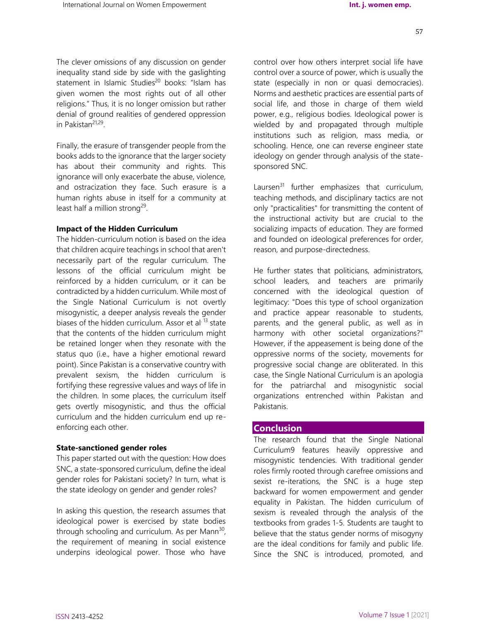The clever omissions of any discussion on gender inequality stand side by side with the gaslighting statement in Islamic Studies<sup>20</sup> books: "Islam has given women the most rights out of all other religions." Thus, it is no longer omission but rather denial of ground realities of gendered oppression in Pakistan<sup>21,29</sup>.

Finally, the erasure of transgender people from the books adds to the ignorance that the larger society has about their community and rights. This ignorance will only exacerbate the abuse, violence, and ostracization they face. Such erasure is a human rights abuse in itself for a community at least half a million strong<sup>29</sup>.

#### **Impact of the Hidden Curriculum**

The hidden-curriculum notion is based on the idea that children acquire teachings in school that aren't necessarily part of the regular curriculum. The lessons of the official curriculum might be reinforced by a hidden curriculum, or it can be contradicted by a hidden curriculum. While most of the Single National Curriculum is not overtly misogynistic, a deeper analysis reveals the gender biases of the hidden curriculum. Assor et al<sup>. 13</sup> state that the contents of the hidden curriculum might be retained longer when they resonate with the status quo (i.e., have a higher emotional reward point). Since Pakistan is a conservative country with prevalent sexism, the hidden curriculum is fortifying these regressive values and ways of life in the children. In some places, the curriculum itself gets overtly misogynistic, and thus the official curriculum and the hidden curriculum end up reenforcing each other.

#### **State-sanctioned gender roles**

This paper started out with the question: How does SNC, a state-sponsored curriculum, define the ideal gender roles for Pakistani society? In turn, what is the state ideology on gender and gender roles?

In asking this question, the research assumes that ideological power is exercised by state bodies through schooling and curriculum. As per Mann<sup>30</sup>, the requirement of meaning in social existence underpins ideological power. Those who have

control over how others interpret social life have control over a source of power, which is usually the state (especially in non or quasi democracies). Norms and aesthetic practices are essential parts of social life, and those in charge of them wield power, e.g., religious bodies. Ideological power is wielded by and propagated through multiple institutions such as religion, mass media, or schooling. Hence, one can reverse engineer state ideology on gender through analysis of the statesponsored SNC.

Laursen $31$  further emphasizes that curriculum, teaching methods, and disciplinary tactics are not only "practicalities" for transmitting the content of the instructional activity but are crucial to the socializing impacts of education. They are formed and founded on ideological preferences for order, reason, and purpose-directedness.

He further states that politicians, administrators, school leaders, and teachers are primarily concerned with the ideological question of legitimacy: "Does this type of school organization and practice appear reasonable to students, parents, and the general public, as well as in harmony with other societal organizations?" However, if the appeasement is being done of the oppressive norms of the society, movements for progressive social change are obliterated. In this case, the Single National Curriculum is an apologia for the patriarchal and misogynistic social organizations entrenched within Pakistan and Pakistanis.

## **Conclusion**

The research found that the Single National Curriculum9 features heavily oppressive and misogynistic tendencies. With traditional gender roles firmly rooted through carefree omissions and sexist re-iterations, the SNC is a huge step backward for women empowerment and gender equality in Pakistan. The hidden curriculum of sexism is revealed through the analysis of the textbooks from grades 1-5. Students are taught to believe that the status gender norms of misogyny are the ideal conditions for family and public life. Since the SNC is introduced, promoted, and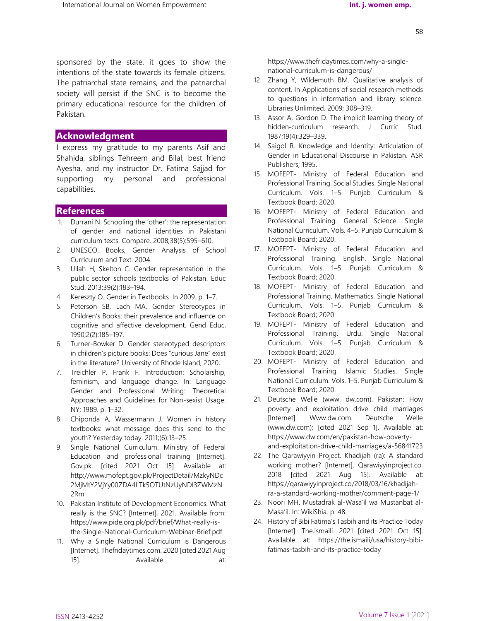sponsored by the state, it goes to show the intentions of the state towards its female citizens. The patriarchal state remains, and the patriarchal society will persist if the SNC is to become the primary educational resource for the children of Pakistan.

## **Acknowledgment**

I express my gratitude to my parents Asif and Shahida, siblings Tehreem and Bilal, best friend Ayesha, and my instructor Dr. Fatima Sajjad for supporting my personal and professional capabilities.

# **References**

- 1. Durrani N. Schooling the 'other': the representation of gender and national identities in Pakistani curriculum texts. Compare. 2008;38(5):595–610.
- 2. UNESCO. Books, Gender Analysis of School Curriculum and Text. 2004.
- 3. Ullah H, Skelton C. Gender representation in the public sector schools textbooks of Pakistan. Educ Stud. 2013;39(2):183–194.
- 4. Kereszty O. Gender in Textbooks. In 2009. p. 1–7.
- 5. Peterson SB, Lach MA. Gender Stereotypes in Children's Books: their prevalence and influence on cognitive and affective development. Gend Educ. 1990;2(2):185–197.
- 6. Turner-Bowker D. Gender stereotyped descriptors in children's picture books: Does "curious Jane" exist in the literature? University of Rhode Island; 2020.
- 7. Treichler P, Frank F. Introduction: Scholarship, feminism, and language change. In: Language Gender and Professional Writing: Theoretical Approaches and Guidelines for Non-sexist Usage. NY; 1989. p. 1–32.
- 8. Chiponda A, Wassermann J. Women in history textbooks: what message does this send to the youth? Yesterday today. 2011;(6):13–25.
- 9. Single National Curriculum. Ministry of Federal Education and professional training [Internet]. Gov.pk. [cited 2021 Oct 15]. Available at: http://www.mofept.gov.pk/ProjectDetail/MzkyNDc 2MjMtY2VjYy00ZDA4LTk5OTUtNzUyNDI3ZWMzN 2Rm
- 10. Pakistan Institute of Development Economics. What really is the SNC? [Internet]. 2021. Available from: https://www.pide.org.pk/pdf/brief/What-really-isthe-Single-National-Curriculum-Webinar-Brief.pdf
- 11. Why a Single National Curriculum is Dangerous [Internet]. Thefridaytimes.com. 2020 [cited 2021 Aug 15]. **Available** at:

https://www.thefridaytimes.com/why-a-singlenational-curriculum-is-dangerous/

- 12. Zhang Y, Wildemuth BM. Qualitative analysis of content. In Applications of social research methods to questions in information and library science. Libraries Unlimited. 2009; 308–319.
- 13. Assor A, Gordon D. The implicit learning theory of hidden-curriculum research. J Curric Stud. 1987;19(4):329–339.
- 14. Saigol R. Knowledge and Identity: Articulation of Gender in Educational Discourse in Pakistan. ASR Publishers; 1995.
- 15. MOFEPT- Ministry of Federal Education and Professional Training. Social Studies. Single National Curriculum. Vols. 1–5. Punjab Curriculum & Textbook Board; 2020.
- 16. MOFEPT- Ministry of Federal Education and Professional Training. General Science. Single National Curriculum. Vols. 4–5. Punjab Curriculum & Textbook Board; 2020.
- 17. MOFEPT- Ministry of Federal Education and Professional Training. English. Single National Curriculum. Vols. 1–5. Punjab Curriculum & Textbook Board; 2020.
- 18. MOFEPT- Ministry of Federal Education and Professional Training. Mathematics. Single National Curriculum. Vols. 1–5. Punjab Curriculum & Textbook Board; 2020.
- 19. MOFEPT- Ministry of Federal Education and Professional Training. Urdu. Single National Curriculum. Vols. 1–5. Punjab Curriculum & Textbook Board; 2020.
- 20. MOFEPT- Ministry of Federal Education and Professional Training. Islamic Studies. Single National Curriculum. Vols. 1–5. Punjab Curriculum & Textbook Board; 2020.
- 21. Deutsche Welle (www. dw.com). Pakistan: How poverty and exploitation drive child marriages [Internet]. Www.dw.com. Deutsche Welle (www.dw.com); [cited 2021 Sep 1]. Available at: https://www.dw.com/en/pakistan-how-povertyand-exploitation-drive-child-marriages/a-56841723
- 22. The Qarawiyyin Project. Khadijah (ra): A standard working mother? [Internet]. Qarawiyyinproject.co. 2018 [cited 2021 Aug 15]. Available at: https://qarawiyyinproject.co/2018/03/16/khadijahra-a-standard-working-mother/comment-page-1/
- 23. Noori MH. Mustadrak al-Wasa'il wa Mustanbat al-Masa'il. In: WikiShia. p. 48.
- 24. History of Bibi Fatima's Tasbih and its Practice Today [Internet]. The.ismaili. 2021 [cited 2021 Oct 15]. Available at: https://the.ismaili/usa/history-bibifatimas-tasbih-and-its-practice-today